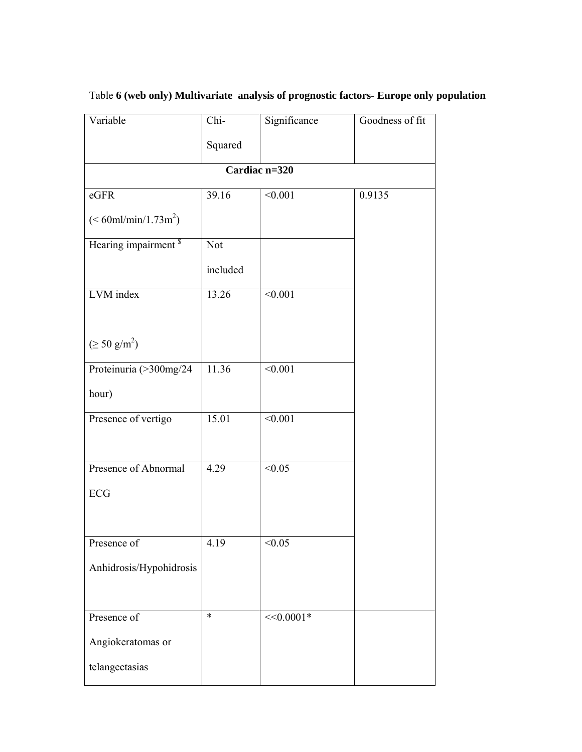| Variable                            | Chi-       | Significance | Goodness of fit |  |  |  |
|-------------------------------------|------------|--------------|-----------------|--|--|--|
|                                     | Squared    |              |                 |  |  |  |
| Cardiac n=320                       |            |              |                 |  |  |  |
| $\operatorname{\sf eGFR}$           | 39.16      | < 0.001      | 0.9135          |  |  |  |
| $(< 60$ ml/min/1.73m <sup>2</sup> ) |            |              |                 |  |  |  |
| Hearing impairment <sup>s</sup>     | <b>Not</b> |              |                 |  |  |  |
|                                     | included   |              |                 |  |  |  |
| LVM index                           | 13.26      | < 0.001      |                 |  |  |  |
|                                     |            |              |                 |  |  |  |
| $(\geq 50 \text{ g/m}^2)$           |            |              |                 |  |  |  |
| Proteinuria (>300mg/24              | 11.36      | < 0.001      |                 |  |  |  |
| hour)                               |            |              |                 |  |  |  |
| Presence of vertigo                 | 15.01      | < 0.001      |                 |  |  |  |
|                                     |            |              |                 |  |  |  |
| Presence of Abnormal                | 4.29       | < 0.05       |                 |  |  |  |
| ECG                                 |            |              |                 |  |  |  |
|                                     |            |              |                 |  |  |  |
| Presence of                         | 4.19       | < 0.05       |                 |  |  |  |
| Anhidrosis/Hypohidrosis             |            |              |                 |  |  |  |
|                                     |            |              |                 |  |  |  |
| Presence of                         | $\ast$     | $<<0.0001*$  |                 |  |  |  |
| Angiokeratomas or                   |            |              |                 |  |  |  |
| telangectasias                      |            |              |                 |  |  |  |

## Table **6 (web only) Multivariate analysis of prognostic factors- Europe only population**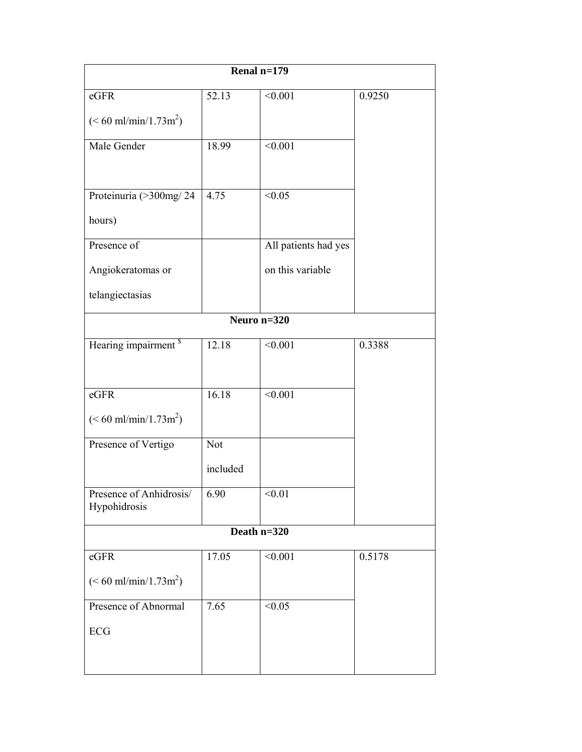|                                          |          | Renal $n=179$        |        |  |  |  |  |
|------------------------------------------|----------|----------------------|--------|--|--|--|--|
| eGFR                                     | 52.13    | $\sqrt{0.001}$       | 0.9250 |  |  |  |  |
| $(< 60 \text{ ml/min}/1.73 \text{ m}^2)$ |          |                      |        |  |  |  |  |
| Male Gender                              | 18.99    | $\sqrt{0.001}$       |        |  |  |  |  |
| Proteinuria (>300mg/24                   | 4.75     | < 0.05               |        |  |  |  |  |
| hours)                                   |          |                      |        |  |  |  |  |
| Presence of                              |          | All patients had yes |        |  |  |  |  |
| Angiokeratomas or                        |          | on this variable     |        |  |  |  |  |
| telangiectasias                          |          |                      |        |  |  |  |  |
| Neuro $n=320$                            |          |                      |        |  |  |  |  |
| Hearing impairment <sup>\$</sup>         | 12.18    | < 0.001              | 0.3388 |  |  |  |  |
|                                          |          |                      |        |  |  |  |  |
| $\operatorname{\sf eGFR}$                | 16.18    | < 0.001              |        |  |  |  |  |
| $(< 60 \text{ ml/min}/1.73 \text{ m}^2)$ |          |                      |        |  |  |  |  |
| Presence of Vertigo                      | Not      |                      |        |  |  |  |  |
|                                          | included |                      |        |  |  |  |  |
| Presence of Anhidrosis/<br>Hypohidrosis  | 6.90     | < 0.01               |        |  |  |  |  |
|                                          |          | Death n=320          |        |  |  |  |  |
| eGFR                                     | 17.05    | < 0.001              | 0.5178 |  |  |  |  |
| $(< 60 \text{ ml/min}/1.73 \text{ m}^2)$ |          |                      |        |  |  |  |  |
| Presence of Abnormal                     | 7.65     | < 0.05               |        |  |  |  |  |
| ECG                                      |          |                      |        |  |  |  |  |
|                                          |          |                      |        |  |  |  |  |
|                                          |          |                      |        |  |  |  |  |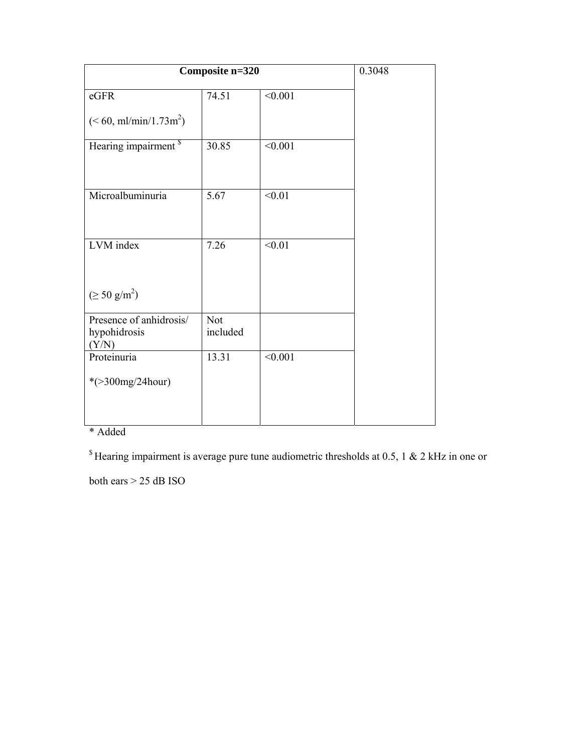| Composite n=320                         |            |         | 0.3048 |
|-----------------------------------------|------------|---------|--------|
| eGFR                                    | 74.51      | < 0.001 |        |
| $(< 60, \text{ml/min}/1.73 \text{m}^2)$ |            |         |        |
| Hearing impairment <sup>s</sup>         | 30.85      | < 0.001 |        |
|                                         |            |         |        |
| Microalbuminuria                        | 5.67       | < 0.01  |        |
|                                         |            |         |        |
| LVM index                               | 7.26       | < 0.01  |        |
|                                         |            |         |        |
| $(\geq 50 \text{ g/m}^2)$               |            |         |        |
| Presence of anhidrosis/                 | <b>Not</b> |         |        |
| hypohidrosis<br>(Y/N)                   | included   |         |        |
| Proteinuria                             | 13.31      | < 0.001 |        |
| * $($ >300mg/24hour)                    |            |         |        |
|                                         |            |         |        |
|                                         |            |         |        |

## \* Added

 $$$  Hearing impairment is average pure tune audiometric thresholds at 0.5, 1 & 2 kHz in one or

both ears > 25 dB ISO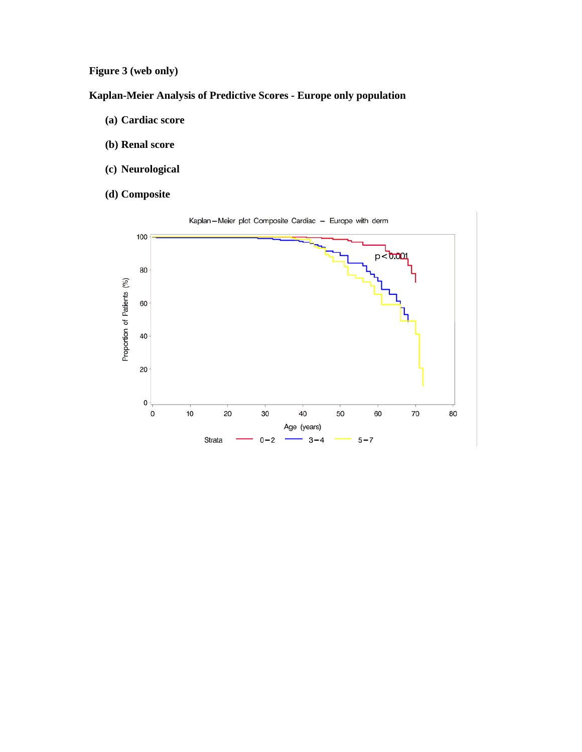**Figure 3 (web only)** 

## **Kaplan-Meier Analysis of Predictive Scores - Europe only population**

- **(a) Cardiac score**
- **(b) Renal score**
- **(c) Neurological**
- **(d) Composite**

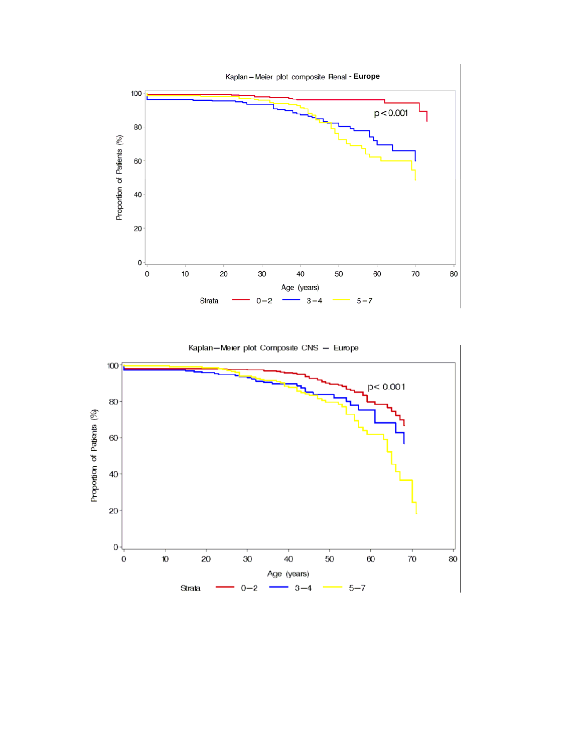

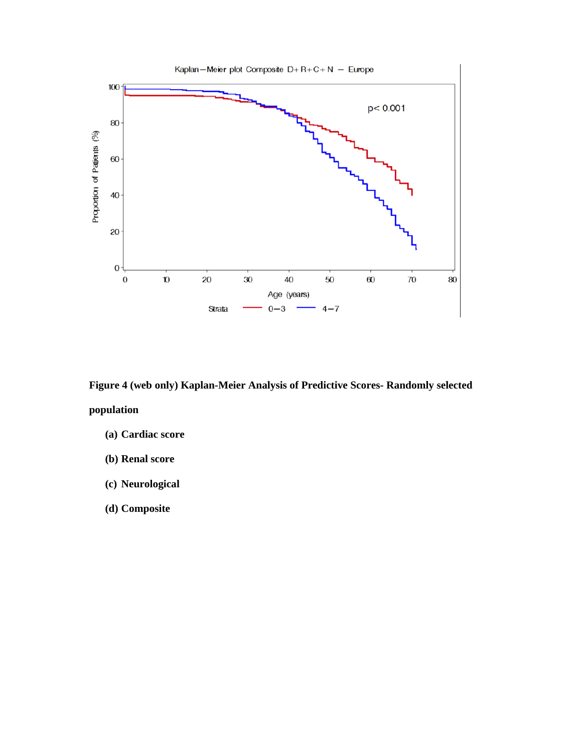

**Figure 4 (web only) Kaplan-Meier Analysis of Predictive Scores- Randomly selected population** 

- **(a) Cardiac score**
- **(b) Renal score**
- **(c) Neurological**
- **(d) Composite**